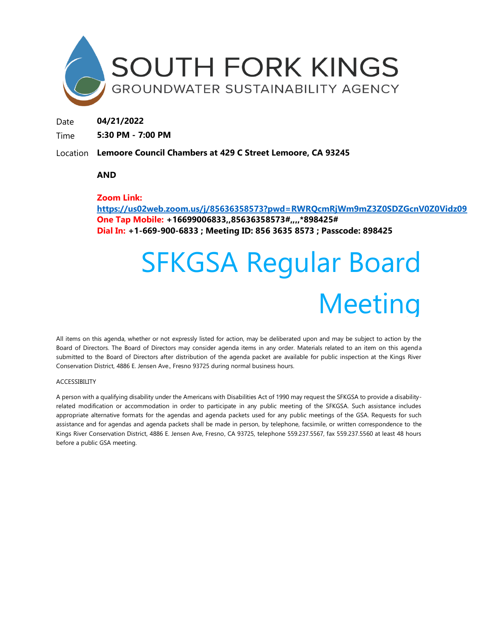

Date **04/21/2022**

Time **5:30 PM - 7:00 PM**

Location **Lemoore Council Chambers at 429 C Street Lemoore, CA 93245** 

# **AND**

# **Zoom Link:**

**<https://us02web.zoom.us/j/85636358573?pwd=RWRQcmRjWm9mZ3Z0SDZGcnV0Z0Vidz09> One Tap Mobile: +16699006833,,85636358573#,,,,\*898425# Dial In: +1-669-900-6833 ; Meeting ID: 856 3635 8573 ; Passcode: 898425**

# SFKGSA Regular Board Meeting

All items on this agenda, whether or not expressly listed for action, may be deliberated upon and may be subject to action by the Board of Directors. The Board of Directors may consider agenda items in any order. Materials related to an item on this agenda submitted to the Board of Directors after distribution of the agenda packet are available for public inspection at the Kings River Conservation District, 4886 E. Jensen Ave., Fresno 93725 during normal business hours.

#### ACCESSIBILITY

A person with a qualifying disability under the Americans with Disabilities Act of 1990 may request the SFKGSA to provide a disabilityrelated modification or accommodation in order to participate in any public meeting of the SFKGSA. Such assistance includes appropriate alternative formats for the agendas and agenda packets used for any public meetings of the GSA. Requests for such assistance and for agendas and agenda packets shall be made in person, by telephone, facsimile, or written correspondence to the Kings River Conservation District, 4886 E. Jensen Ave, Fresno, CA 93725, telephone 559.237.5567, fax 559.237.5560 at least 48 hours before a public GSA meeting.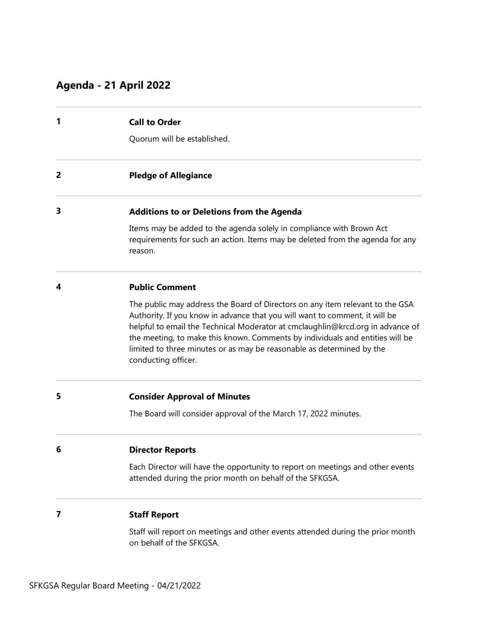# **Agenda - 21 April 2022**

| <b>Call to Order</b> |  |
|----------------------|--|
|                      |  |

Quorum will be established.

**2 Pledge of Allegiance** 

# **3 Additions to or Deletions from the Agenda**

Items may be added to the agenda solely in compliance with Brown Act requirements for such an action. Items may be deleted from the agenda for any reason.

#### **4 Public Comment**

The public may address the Board of Directors on any item relevant to the GSA Authority. If you know in advance that you will want to comment, it will be helpful to email the Technical Moderator at cmclaughlin@krcd.org in advance of the meeting, to make this known. Comments by individuals and entities will be limited to three minutes or as may be reasonable as determined by the conducting officer.

# **5 Consider Approval of Minutes**

The Board will consider approval of the March 17, 2022 minutes.

# **6 Director Reports**

Each Director will have the opportunity to report on meetings and other events attended during the prior month on behalf of the SFKGSA.

### **7 Staff Report**

Staff will report on meetings and other events attended during the prior month on behalf of the SFKGSA.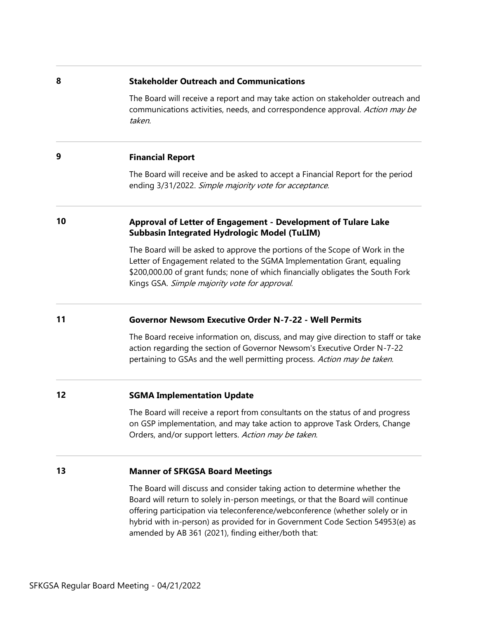#### **8 Stakeholder Outreach and Communications**

The Board will receive a report and may take action on stakeholder outreach and communications activities, needs, and correspondence approval. Action may be taken.

# **9 Financial Report**

The Board will receive and be asked to accept a Financial Report for the period ending 3/31/2022. Simple majority vote for acceptance.

# **10 Approval of Letter of Engagement - Development of Tulare Lake Subbasin Integrated Hydrologic Model (TuLIM)**

The Board will be asked to approve the portions of the Scope of Work in the Letter of Engagement related to the SGMA Implementation Grant, equaling \$200,000.00 of grant funds; none of which financially obligates the South Fork Kings GSA. Simple majority vote for approval.

# **11 Governor Newsom Executive Order N-7-22 - Well Permits**

The Board receive information on, discuss, and may give direction to staff or take action regarding the section of Governor Newsom's Executive Order N-7-22 pertaining to GSAs and the well permitting process. Action may be taken.

# **12 SGMA Implementation Update**

The Board will receive a report from consultants on the status of and progress on GSP implementation, and may take action to approve Task Orders, Change Orders, and/or support letters. Action may be taken.

# **13 Manner of SFKGSA Board Meetings**

The Board will discuss and consider taking action to determine whether the Board will return to solely in-person meetings, or that the Board will continue offering participation via teleconference/webconference (whether solely or in hybrid with in-person) as provided for in Government Code Section 54953(e) as amended by AB 361 (2021), finding either/both that: